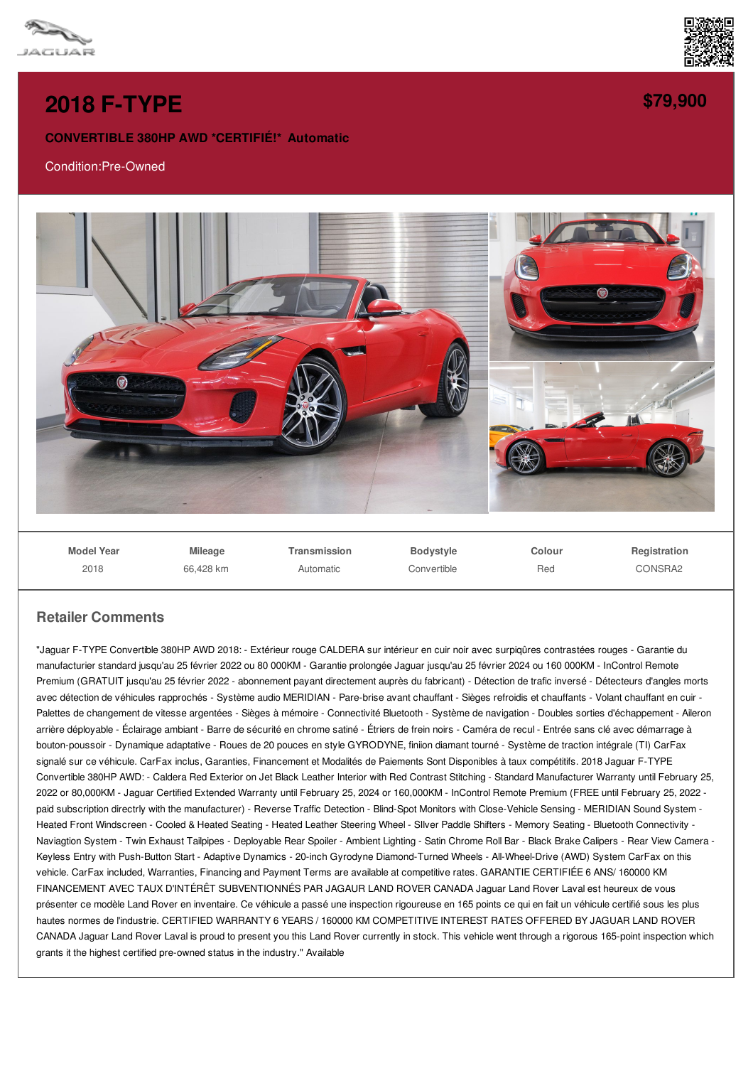



## **2018 [F-TYPE](/used-certified/pdf/)**

## **CONVERTIBLE 380HP AWD \*CERTIFIÉ!\* Automatic**

## Condition:Pre-Owned



**Model Year** 2018

**Mileage** 66,428 km **Transmission** Automatic

**Bodystyle Convertible**  **Colour** Red

**Registration** CONSRA2

## **Retailer Comments**

"Jaguar F-TYPE Convertible 380HP AWD 2018: - Extérieur rouge CALDERA sur intérieur en cuir noir avec surpiqûres contrastées rouges - Garantie du manufacturier standard jusqu'au 25 février 2022 ou 80 000KM - Garantie prolongée Jaguar jusqu'au 25 février 2024 ou 160 000KM - InControl Remote Premium (GRATUIT jusqu'au 25 février 2022 - abonnement payant directement auprès du fabricant) - Détection de trafic inversé - Détecteurs d'angles morts avec détection de véhicules rapprochés - Système audio MERIDIAN - Pare-brise avant chauffant - Sièges refroidis et chauffants - Volant chauffant en cuir -Palettes de changement de vitesse argentées - Sièges à mémoire - Connectivité Bluetooth - Système de navigation - Doubles sorties d'échappement - Aileron arrière déployable - Éclairage ambiant - Barre de sécurité en chrome satiné - Étriers de frein noirs - Caméra de recul - Entrée sans clé avec démarrage à bouton-poussoir - Dynamique adaptative - Roues de 20 pouces en style GYRODYNE, finiion diamant tourné - Système de traction intégrale (TI) CarFax signalé sur ce véhicule. CarFax inclus, Garanties, Financement et Modalités de Paiements Sont Disponibles à taux compétitifs. 2018 Jaguar F-TYPE Convertible 380HP AWD: - Caldera Red Exterior on Jet Black Leather Interior with Red Contrast Stitching - Standard Manufacturer Warranty until February 25, 2022 or 80,000KM - Jaguar Certified Extended Warranty until February 25, 2024 or 160,000KM - InControl Remote Premium (FREE until February 25, 2022 paid subscription directrly with the manufacturer) - Reverse Traffic Detection - Blind-Spot Monitors with Close-Vehicle Sensing - MERIDIAN Sound System - Heated Front Windscreen - Cooled & Heated Seating - Heated Leather Steering Wheel - SIlver Paddle Shifters - Memory Seating - Bluetooth Connectivity - Naviagtion System - Twin Exhaust Tailpipes - Deployable Rear Spoiler - Ambient Lighting - Satin Chrome Roll Bar - Black Brake Calipers - Rear View Camera -Keyless Entry with Push-Button Start - Adaptive Dynamics - 20-inch Gyrodyne Diamond-Turned Wheels - All-Wheel-Drive (AWD) System CarFax on this vehicle. CarFax included, Warranties, Financing and Payment Terms are available at competitive rates. GARANTIE CERTIFIÉE 6 ANS/ 160000 KM FINANCEMENT AVEC TAUX D'INTÉRÊT SUBVENTIONNÉS PAR JAGAUR LAND ROVER CANADA Jaguar Land Rover Laval est heureux de vous présenter ce modèle Land Rover en inventaire. Ce véhicule a passé une inspection rigoureuse en 165 points ce qui en fait un véhicule certifié sous les plus hautes normes de l'industrie. CERTIFIED WARRANTY 6 YEARS / 160000 KM COMPETITIVE INTEREST RATES OFFERED BY JAGUAR LAND ROVER CANADA Jaguar Land Rover Laval is proud to present you this Land Rover currently in stock. This vehicle went through a rigorous 165-point inspection which grants it the highest certified pre-owned status in the industry." Available